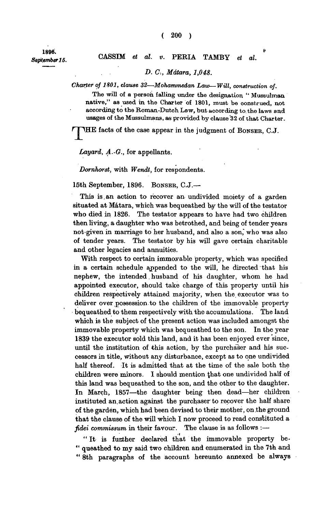**1896.** 

## *September 15.* **CASSIM** *et al. v.* **PERIA TAMBY** *et al.*

## *D. C, Mdtara, 1,048.*

*Charter of 1801, clause 32—Mohammedan Law—Will, construction of.* 

**The will of a person falling under the designation " Mussulman native," as used in the Charter of 1801, must be construed, not according to the Roman-Dutch Law, but according to, the laws and usages of the Mussulmans, as provided by clause'32 of that Charter.** 

**'HE facts of the case appear in the judgment of BONSER, C.J.** 

*Layard, A.-G.,* **for appellants.** 

*Dorrihorst,* **with** *Wendt,* **for respondents.** 

**15th September, 1896. BONSER, C.J.—** 

**This is,an action to recover an undivided moiety of a garden situated at Matara, which was bequeathed by the will of the testator who died in 1826. The testator appears to have had two children then living, a daughter who was betrothed, and being of tender years not-given in marriage to her husband, and also a son," who was also of tender years. The testator by his will gave certain charitable and other legacies and annuities.** 

**With respect to certain immoyable property, which was specified in a certain schedule appended to the will, he directed that his nephew, the intended. husband of his daughter, whom he had appointed executor, should take charge of this property until his children respectively attained majority, when the executor was to deliver over possession.to the children of the immovable property bequeathed to them respectively with the accumulations. The land which is the subject of the present action was included amongst the immovable property which was bequeathed to the son. In the year 1839 the executor sold this land, and it has been enjoyed ever since, until the institution of this action, by the purchaser and his successors in title, without any disturbance, except as to one undivided half thereof. It is admitted that at the time of the sale both the children were minors. I should mention ^hat one undivided half of this land was bequeathed to the son, and the other to the daughter. In March, 1857—the daughter being then dead—her children instituted an.action against the purchaser to recover the half share of the garden, which had been devised to their mother, on the ground that the clause of the will which I now proceed to read constituted a**  *fidei eommissum* **in their favour. The clause is as follows :—** 

**" It is further declared that the immovable property be-** " queathed to my said two children and enumerated in the 7th and **" 8th paragraphs of the account hereunto annexed be always**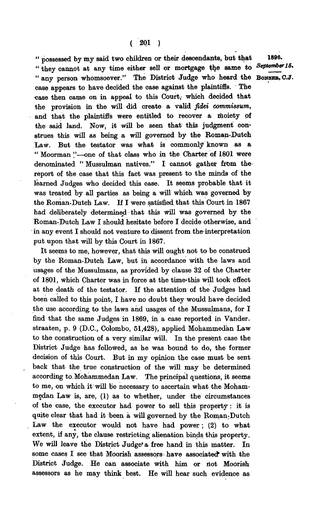**" possessed by my said two children or their descendants, but that 1896 .**  " they cannot at any time either sell or mortgage the same to "any person whomsoever." The District Judge who heard the BonsER, C.J. **case appears to have decided the case against the plaintiffs. The**  case then came on in appeal to this Court, which decided that **the provision in the will did create a valid** *fidei commissum,*  **and that the plaintiffs were entitled to recover a moiety of the said land. Now, it will be seen that this judgment construes this will as being a will governed by the Roman-Dutch Law. But the testator was what is commonly known as a " Moorman '.'—one of that class who in the Charter of 1801 were**  denominated "Mussulman natives." I cannot gather from the **report of the case that this fact was present to the minds of the learned Judges who decided this case. It seems probable that it was treated by all parties as being a will which was governed by the Roman-Dutch Law. If I were satisfied that this Court in 1867 had deliberately determined that this will was governed by the Roman-Dutch Law I should hesitate before I decide otherwise, and in any event I should not venture to dissent from the interpretation put upon that will by this Court in 1867.** 

**It seems to me, however, that this will ought not to be construed by the Roman-Dutch Law, but in accordance with the laws and usages of the Mussulmans, as provided by clause 32 of the Charter of 1801, which Charter was in force at the time-this will took effect at the death of the testator. If the attention of the Judges had been called to this point, I have no doubt they would have decided the use according to the laws and usages of the Mussulmans, for I find that the same Judges in 1869, in a case reported in Vander. straaten, p. 9 (D.C., Colombo, 51,428), applied Mohammedan Law to the construction of a very similar will. In the present case the District Judge has followed, as he was bound to do, the former decision of this Court. But in my opinion the case must be sent back that the true construction of the will may be determined according to. Mohammedan Law. The principal questions, it seems to me, on which it will be necessary to ascertain what the Mohammedan Law is, are, (1) as to whether, under the circumstances of the case, the executor had power to sell this property: it is quite clear that had it been a will governed by the Roman-Dutch**  Law the executor would not have had power; (2) to what **extent, if any, the clause restricting alienation binds this property. We will leave the District Judge'a free hand in this matter. In**  some cases I see that Moorish assessors have associated with the **District Judge. He can associate with him or not Moorish assessors as he may think best. He will hear such evidence as**